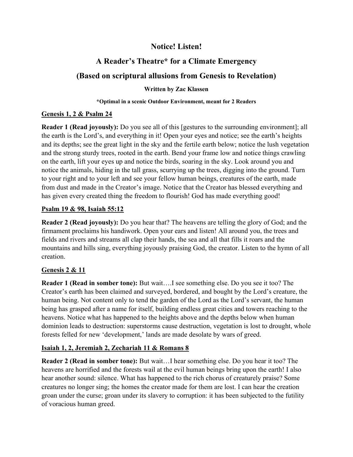## Notice! Listen!

## A Reader's Theatre\* for a Climate Emergency

# (Based on scriptural allusions from Genesis to Revelation)

#### Written by Zac Klassen

#### \*Optimal in a scenic Outdoor Environment, meant for 2 Readers

#### Genesis 1, 2 & Psalm 24

Reader 1 (Read joyously): Do you see all of this [gestures to the surrounding environment]; all the earth is the Lord's, and everything in it! Open your eyes and notice; see the earth's heights and its depths; see the great light in the sky and the fertile earth below; notice the lush vegetation and the strong sturdy trees, rooted in the earth. Bend your frame low and notice things crawling on the earth, lift your eyes up and notice the birds, soaring in the sky. Look around you and notice the animals, hiding in the tall grass, scurrying up the trees, digging into the ground. Turn to your right and to your left and see your fellow human beings, creatures of the earth, made from dust and made in the Creator's image. Notice that the Creator has blessed everything and has given every created thing the freedom to flourish! God has made everything good!

#### Psalm 19 & 98, Isaiah 55:12

Reader 2 (Read joyously): Do you hear that? The heavens are telling the glory of God; and the firmament proclaims his handiwork. Open your ears and listen! All around you, the trees and fields and rivers and streams all clap their hands, the sea and all that fills it roars and the mountains and hills sing, everything joyously praising God, the creator. Listen to the hymn of all creation.

### Genesis 2 & 11

Reader 1 (Read in somber tone): But wait….I see something else. Do you see it too? The Creator's earth has been claimed and surveyed, bordered, and bought by the Lord's creature, the human being. Not content only to tend the garden of the Lord as the Lord's servant, the human being has grasped after a name for itself, building endless great cities and towers reaching to the heavens. Notice what has happened to the heights above and the depths below when human dominion leads to destruction: superstorms cause destruction, vegetation is lost to drought, whole forests felled for new 'development,' lands are made desolate by wars of greed.

#### Isaiah 1, 2, Jeremiah 2, Zechariah 11 & Romans 8

Reader 2 (Read in somber tone): But wait…I hear something else. Do you hear it too? The heavens are horrified and the forests wail at the evil human beings bring upon the earth! I also hear another sound: silence. What has happened to the rich chorus of creaturely praise? Some creatures no longer sing; the homes the creator made for them are lost. I can hear the creation groan under the curse; groan under its slavery to corruption: it has been subjected to the futility of voracious human greed.